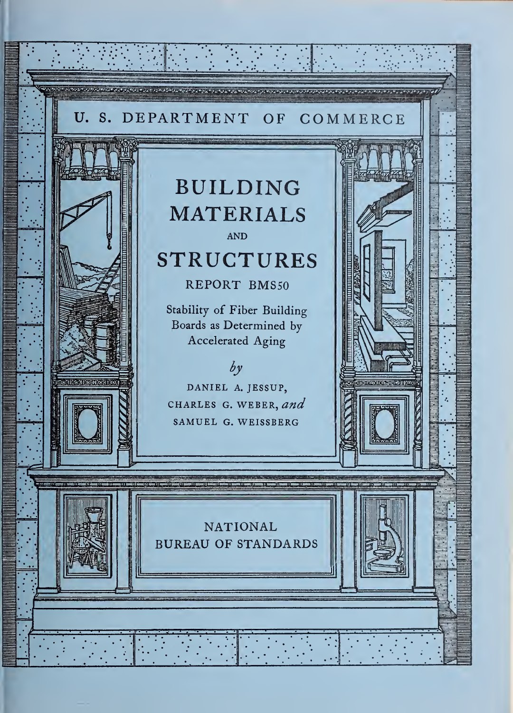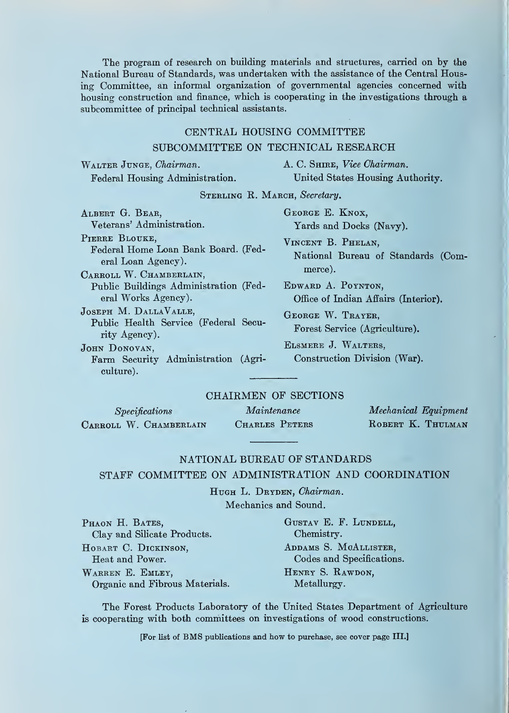The program of research on building materials and structures, carried on by the National Bureau of Standards, was undertaken with the assistance of the Central Housing Committee, an informal organization of governmental agencies concerned with housing construction and finance, which is cooperating in the investigations through a subcommittee of principal technical assistants.

## CENTRAL HOUSING COMMITTEE

#### SUBCOMMITTEE ON TECHNICAL RESEARCH

WALTER JUNGE, Chairman. A. C. SHIRE, Vice Chairman.

Federal Housing Administration. United States Housing Authority.

STERLING R. MARCH, Secretary.

ALBERT G. BEAR, GEORGE E. KNOX, Veterans' Administration. Yards and Docks (Navy). PIERRE BLOUKE. Federal Home Loan Bank Board. (Federal Loan Agency). CARROLL W. CHAMBERLAIN, Public Buildings Administration (Federal Works Agency). Joseph M. DallaValle, Public Health Service (Federal Security Agency). JOHN DONOVAN, Farm Security Administration (Agri-

culture).

Vincent B. Phelan, National Bureau of Standards (Commerce).

Edward A. Poynton, Office of Indian Affairs (Interior).

George W. Trayer, Forest Service (Agriculture).

Elsmere J. Walters, Construction Division (War).

#### CHAIRMEN OF SECTIONS

| Specifications         | Maintenance    | $\bm{Mecha}$ |
|------------------------|----------------|--------------|
| CARROLL W. CHAMBERLAIN | CHARLES PETERS | ROBER        |

nical Equipment **RT K. THULMAN** 

#### NATIONAL BUREAU OF STANDARDS STAFF COMMITTEE ON ADMINISTRATION AND COORDINATION

HUGH L. DRYDEN, Chairman. Mechanics and Sound.

PHAON H. BATES, GUSTAV E. F. LUNDELL, Clay and Silicate Products. Chemistry. HOBART C. DICKINSON, ADDAMS S. MCALLISTER, Heat and Power. Codes and Specifications. WARREN E. EMLEY, HENRY S. RAWDON, Organic and Fibrous Materials. Metallurgy.

The Forest Products Laboratory of the United States Department of Agriculture is cooperating with both committees on investigations of wood constructions.

[For list of BMS publications and how to purchase, see cover page III.]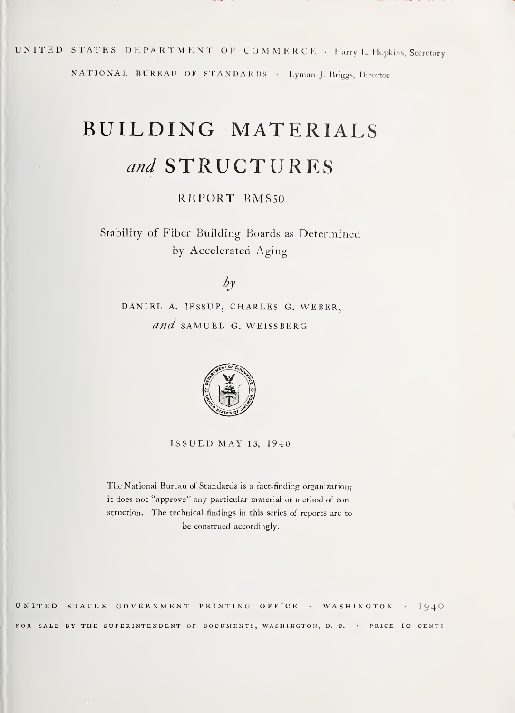## UNITED STATES DEPARTMENT OF COMMERCE - Harry L. Hopkins, Secretary

NATIONAL BUREAU OF STANDARDS • Lyman J. Briggs, Director

# BUILDING MATERIALS and STRUCTURES

## REPORT BMS50

Stability of Fiber Building Boards as Determined by Accelerated Aging

## $\partial y$

DANIEL A. JESSUP, CHARLES G. WEBER, and SAMUEL G. WEISSBERG



ISSUED MAY 13, 1940

The National Bureau of Standards is <sup>a</sup> tact-finding organization; it does not "approve" any particular material or method of construction. The technical findings in this series ot reports are to be construed accordingly.

UNITED STATES GOVERNMENT PRINTING OFFICE • WASHINGTON FOR SALE BY THE SUPERINTENDENT OF DOCUMENTS, WASHINGTON, D. C. . PRICE IO CENTS 1940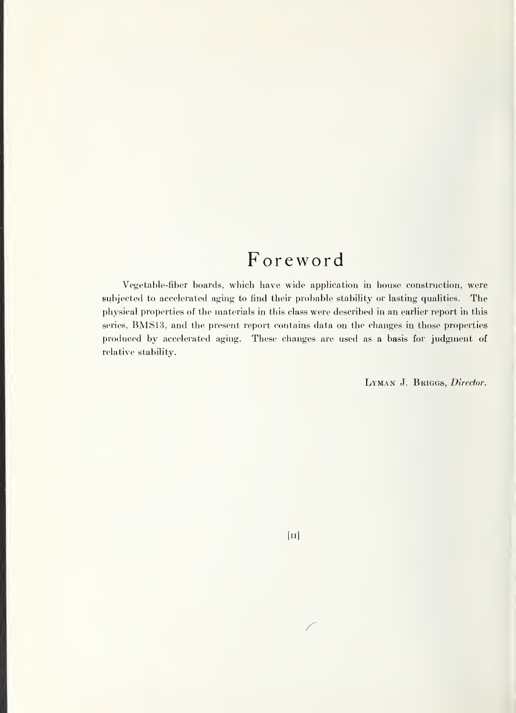## Foreword

Vegetable-fiber boards, which have wide application in house construction, were subjected to accelerated aging to find their probable stability or lasting qualities. The physical properties of the materials in this class were described in an earlier report in this series, BMS13, and the present report contains data on the changes in those properties produced by accelerated aging. These changes are used as a basis for judgment of relative stability.

LYMAN J. BRIGGS, Director.

 $[<sub>II</sub>]$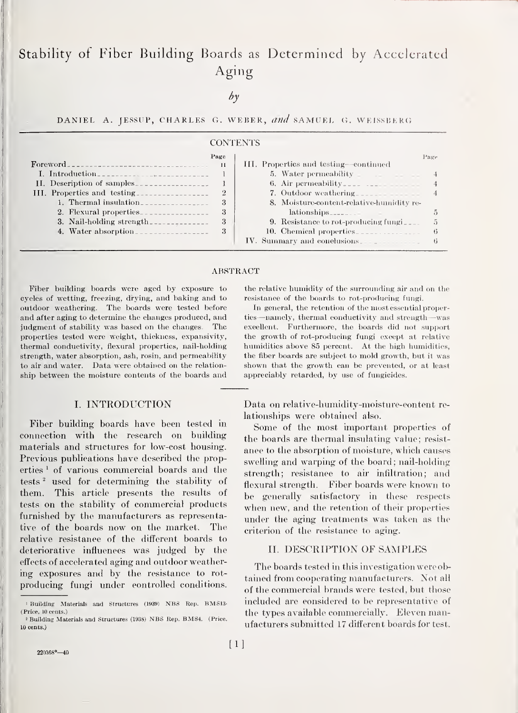## Stability of Fiber Building Boards as Determined by Accelerated Aging

 $b\nu$ 

DANIEL A. JESSUP, CHARLES G. WEBER, and SAMUEL G. WEISSBERG

#### **CONTENTS**

|                             | Page           |                                           | Page         |
|-----------------------------|----------------|-------------------------------------------|--------------|
| For <b>word</b>             | $\mathbf{H}$   | III. Properties and testing—continued     |              |
| I. Introduction             |                | 5. Water permeability                     |              |
| II. Description of samples  |                | 6. Air permeability                       |              |
| III. Properties and testing | $\overline{2}$ | 7. Outdoor weathering                     |              |
| 1. Thermal insulation       | 3              | 8. Moisture-content-relative-humidity re- |              |
| 2. Flexural properties      | 3              | lationships                               |              |
| 3. Nail-holding strength.   | 3              | 9. Resistance to rot-producing fungi      | 5            |
| 4. Water absorption         | 3              | 10. Chemical properties                   | $\mathbf{G}$ |
|                             |                | IV. Summary and conclusions               | ti           |

#### ABSTRACT

Fiber building boards were aged by exposure to cycles of wetting, freezing, drying, and baking and to outdoor weathering. The boards were tested before and after aging to determine the changes produced, and judgment of stability was based on the changes. The properties tested were weight, thickness, expansivity, thermal conductivity, flexural properties, nail-holding strength, water absorption, ash, rosin, and permeability to air and water. Data were obtained on the relation ship between the moisture contents of the boards and

#### I. INTRODUCTION

Fiber building boards have been tested in connection with the research on building materials and structures for low-cost housing. Previous publications have described the properties<sup>1</sup> of various commercial boards and the tests<sup>2</sup> used for determining the stability of them. This article presents the results of tests on the stability of commercial products furnished by the manufacturers as representative of the boards now on the market. The relative resistance of the different boards to deteriorative influences was judged by the effects of accelerated aging and outdoor weathering exposures and by the resistance to rot producing fungi under controlled conditions.

the relative humidity of the surrounding air and on the resistance of the boards to rot-producing fungi.

In general, the retention of the most essential properties—namely, thermal conductivity and strength—was excellent. Furthermore, the boards did not support the growth of rot-producing fungi except at relative humidities above 85 percent. At the high humidities, the fiber boards are subject to mold growth, but it was shown that the growth can be prevented, or at least appreciably retarded, by use of fungicides.

Data on relative-humidity-moisture-content re lationships were obtained also.

Some of the most important properties of the boards are thermal insulating value; resistance to the absorption of moisture, which causes swelling and warping of the board; nail-holding strength; resistance to air infiltration; and flexural strength. Fiber boards were known to be generally satisfactory in these respects when new, and the retention of their properties under the aging treatments was taken as the criterion of the resistance to aging.

#### II. DESCRIPTION OF SAMPLES

The boards tested in this investigation were obtained from cooperating manufacturers. Not all of the commercial brands were tested, but those included are considered to be representative of the types available commercially. Eleven manufacturers submitted 17 difterent boards for test.

<sup>1</sup> Building Materials and Structures (1939) NBS Rep. BMS13- (Price, 10 cents.)

<sup>2</sup> Building Materials and Structures (1938) NBS Rep. BMS4. (Price. 10 cents.)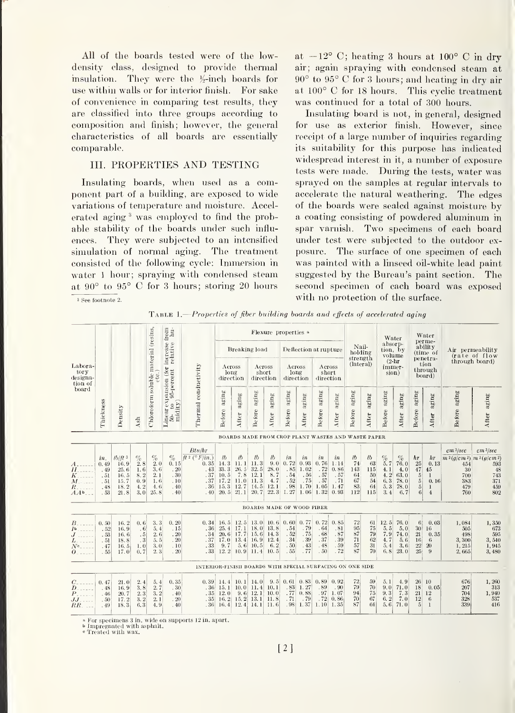All of the boards tested were of the lowdensity class, designed to provide thermal insulation. They were the  $\frac{1}{2}$ -inch boards for use within walls or for interior finish. For sake of convenience in comparing test results, they are classified into three groups according to composition and finish; however, the general characteristics of all boards are essentially comparable.

#### III. PROPERTIES AND TESTING

Insulating boards, when used as a component part of a building, are exposed to wide variations of temperature and moisture. Accelerated aging <sup>3</sup> was employed to find the probable stability of the boards under such influ ences. They were subjected to an intensified simulation of normal aging. The treatment consisted of the following cycle: Immersion in water <sup>1</sup> hour; spraying with condensed steam at 90° to 95° C for <sup>3</sup> hours; storing 20 hours at  $-12^{\circ}$  C; heating 3 hours at  $100^{\circ}$  C in dry air; again spraying with condensed steam at 90° to 95° C for <sup>3</sup> hours; and heating in dry air at 100° C for <sup>18</sup> hours. This cyclic treatment was continued for a total of 300 hours.

Insulating board is not, in general, designed for use as exterior finish. However, since receipt of a large number of inquiries regarding its suitability for this purpose has indicated widespread interest in it, a number of exposure tests were made. During the tests, water was sprayed on the samples at regular intervals to accelerate the natural weathering. The edges of the boards were sealed against moisture by a coating consisting of powdered aluminum in spar varnish. Two specimens of each board under test were subjected to the outdoor ex posure. The surface of one specimen of each was painted with a linseed oil-white lead paint suggested by the Bureau's paint section. The second specimen of each board was exposed with no protection of the surface.

TABLE 1.—Properties of fiber building boards and effects of accelerated aging

|                                                                                    |                                                                                                                                                                                                                      |                                                                      |                                                                                    |                                                      |                                                  | from $\lim_{\rightarrow}$ .                                                                 |                                                                    | Flexure properties a                                          |                                                    |                                                 |                                                |                                                  |                                                 |                                                  |                                                    |                                          | Water                                                                        |                                                    | Water<br>perme-                                                        |                                                                 |                                                                                             |                                                      |
|------------------------------------------------------------------------------------|----------------------------------------------------------------------------------------------------------------------------------------------------------------------------------------------------------------------|----------------------------------------------------------------------|------------------------------------------------------------------------------------|------------------------------------------------------|--------------------------------------------------|---------------------------------------------------------------------------------------------|--------------------------------------------------------------------|---------------------------------------------------------------|----------------------------------------------------|-------------------------------------------------|------------------------------------------------|--------------------------------------------------|-------------------------------------------------|--------------------------------------------------|----------------------------------------------------|------------------------------------------|------------------------------------------------------------------------------|----------------------------------------------------|------------------------------------------------------------------------|-----------------------------------------------------------------|---------------------------------------------------------------------------------------------|------------------------------------------------------|
| Labora-<br>tory<br>designa-<br>tion of                                             |                                                                                                                                                                                                                      |                                                                      |                                                                                    |                                                      | increase t                                       |                                                                                             |                                                                    | Breaking load                                                 |                                                    |                                                 |                                                |                                                  | Deflection at rupture                           |                                                  | Nail-<br>holding                                   |                                          |                                                                              | absorp-<br>tion, by<br>volume                      |                                                                        | ability<br>(time_of                                             | Air permeability<br>(rate of flow                                                           |                                                      |
|                                                                                    |                                                                                                                                                                                                                      |                                                                      |                                                                                    | $_{\rm{ee.}}$                                        | 10(<br>$95$ percent                              |                                                                                             | long                                                               | Aeross<br>direction                                           |                                                    | Across<br>short<br>direction                    | Across<br>long<br>direction                    |                                                  | Across<br>short<br>direction                    |                                                  | strength<br>(lateral)                              |                                          | $(2-hr)$<br>immer-<br>sion)                                                  |                                                    |                                                                        | penetra-<br>tion<br>through<br>board)                           |                                                                                             | through board)                                       |
| board                                                                              | Chloroform soluble material (resins,<br>Thermal conductivity<br>$\begin{array}{ll} \textbf{Linear expansion} \; ( \; \\ 50-{\rm\;to\;to\;95-pereer} \\ \textbf{midity} ) \end{array}$<br>Thiekness<br>Density<br>Ash |                                                                      | aging<br>Before                                                                    | aging<br>After                                       | $\operatorname{aging}$<br>Before                 | aging<br>After                                                                              | $\operatorname{a}\!\operatorname{g}\!\operatorname{ing}$<br>Before | aging<br>After                                                | aging<br>Before                                    | aging<br>After                                  | aging<br>Before                                | agjng<br>After                                   | aging<br>Before                                 | aging<br>After                                   | aging<br>Before                                    | aging<br>After                           | $a$ ging<br>Before                                                           | $a\mathrm{ging}$<br>After                          |                                                                        |                                                                 |                                                                                             |                                                      |
|                                                                                    |                                                                                                                                                                                                                      |                                                                      |                                                                                    |                                                      |                                                  |                                                                                             |                                                                    |                                                               |                                                    |                                                 |                                                |                                                  |                                                 |                                                  | BOARDS MADE FROM CROP PLANT WASTES AND WASTE PAPER |                                          |                                                                              |                                                    |                                                                        |                                                                 |                                                                                             |                                                      |
| А.<br>$\overline{H}$<br>K<br>$\overline{M}$<br>$\overline{R}$ .<br>AA <sup>b</sup> | in.<br>0.49<br>.49<br>.51<br>.51<br>.48<br>.53                                                                                                                                                                       | $1b/ft$ <sup>3</sup><br>16.9<br>25.6<br>16.5<br>15.7<br>18.2<br>21.8 | $\begin{array}{c} 0\% \\[-4pt] 2.8 \end{array}$<br>1.6<br>8.2<br>0.9<br>4.2<br>3.0 | $\frac{\%}{2.0}$<br>3.6<br>2.1<br>1.6<br>4.6<br>25.8 | $\%$<br>0.15<br>. 20<br>.30<br>.10<br>.40<br>.40 | Btu/hr<br>$ft^2$ ( $\degree$ F/in.)<br>0.35<br>.43<br>.37<br>.37<br>.36<br>.40 <sup>°</sup> | lb<br>14.3<br>33.3<br>10.5<br>17.2<br>15.3                         | Ib<br>11.1<br>26.5<br>7.8<br>11.0<br>12.<br>7<br>$20, 5$ 21.1 | lb<br>11.3<br>32.5<br>12.1<br>11.3<br>14.5<br>20.7 | lb<br>9.0<br>28.0<br>8.7<br>4.7<br>12.1<br>22.3 | in<br>0.72<br>.85<br>.54<br>.52<br>.98<br>1.27 | in<br>0.93<br>1.02<br>.56<br>.75<br>1.70<br>1.06 | in<br>0.76<br>.72<br>.57<br>.57<br>1.05<br>1.32 | in<br>1:14<br>0.86<br>.57<br>.71<br>1.47<br>0.93 | lb<br>74<br>143<br>64<br>67<br>83<br>112           | lb<br>63<br>115<br>50<br>54<br>64<br>115 | $\begin{array}{c} Q_0 \\ 5.7 \end{array}$<br>4.1<br>4.2<br>6.3<br>5.3<br>3.4 | $\%$<br>76.0<br>4.0<br>63.0<br>78.0<br>78.0<br>6.7 | hr<br>25<br>47<br>5 <sup>5</sup><br>$5\,$<br>$\overline{5}$<br>6       | hr<br>0.13<br>45<br>1<br>0.16<br>$\mathbf{1}$<br>$\overline{4}$ | $cm\,3/sec$<br>$m^{2}(q/cm^{2})$ $m^{2}(q/cm^{2})$<br>454<br>30<br>700<br>383<br>479<br>760 | $cm\,3/sec$<br>593<br>48<br>743<br>371<br>459<br>802 |
|                                                                                    |                                                                                                                                                                                                                      |                                                                      |                                                                                    |                                                      |                                                  |                                                                                             |                                                                    |                                                               |                                                    |                                                 | <b>BOARDS MADE OF WOOD FIBER</b>               |                                                  |                                                 |                                                  |                                                    |                                          |                                                                              |                                                    |                                                                        |                                                                 |                                                                                             |                                                      |
| $B_{-}$<br><b>Tb</b><br>$N^{\rm e}$<br>$\Omega$                                    | 0.50<br>.52<br>.53<br>.51<br>.47<br>.55                                                                                                                                                                              | 16.2<br>16.9<br>16.6<br>18.8<br>16.5<br>17.0                         | 0.6<br>.6<br>.5<br>$\cdot$ 3<br>1.0<br>0.7                                         | 3.3<br>5.4<br>2.6<br>5.5<br>3.0<br>2.3               | 0.20<br>. 15<br>.20<br>.20<br>.10<br>.20         | 0.34<br>.36<br>.34<br>.37<br>.33<br>. 33                                                    | 16.5<br>25.4<br>20.6<br>17.0<br>9.7                                | 12.5<br>17.1<br>17.7<br>13.4<br>5.6<br>$12.2$ 10.9 11.4       | 13.0<br>18.0<br>15.6<br>16.9<br>10.5               | 10.6<br>13.8<br>14.3<br>12.4<br>6.2<br>10.5     | 0.60<br>.54<br>.52<br>.34<br>.50<br>.55        | 0.77<br>.79<br>.75<br>.39<br>.43<br>.77          | 0.72<br>.64<br>.68<br>.37<br>.48<br>.50         | 0.85<br>.81<br>.87<br>$\, . \, 39$<br>.59<br>.72 | 72<br>$\frac{95}{87}$<br>$\frac{71}{57}$<br>87     | 61<br>75<br>79<br>62<br>31<br>70         | 12.5<br>5.5<br>7.9<br>4.7<br>5.4<br>6.8                                      | 76.0<br>5.0<br>74.0<br>5.6<br>3.6<br>23.0          | 6 <sub>1</sub><br>30 <sup>1</sup><br>21<br>16<br>22<br>25 <sub>1</sub> | 0.03<br>16<br>0.35<br>6<br>20<br>$\mathbf{Q}$                   | 1.084<br>505<br>498<br>3,300<br>1,215<br>2,665                                              | 1,350<br>673<br>595<br>3,540<br>1,945<br>3,480       |
|                                                                                    |                                                                                                                                                                                                                      |                                                                      |                                                                                    |                                                      |                                                  | INTERIOR-FINISII BOARDS WITH SPECIAL SURFACING ON ONE SIDE                                  |                                                                    |                                                               |                                                    |                                                 |                                                |                                                  |                                                 |                                                  |                                                    |                                          |                                                                              |                                                    |                                                                        |                                                                 |                                                                                             |                                                      |
| $\overline{C}$<br>D<br>P.<br>JJ<br>RR                                              | 0.47<br>.48<br>.46<br>.50<br>.49                                                                                                                                                                                     | 21.0<br>16.9<br>20.7<br>17.2<br>18.3                                 | 2.4<br>3.8<br>2.3<br>3.2<br>6.3                                                    | 5.4<br>2.7<br>3.2<br>2.1<br>4.9                      | 0.35<br>.30<br>.40<br>.20<br>. 40                | 0.39<br>.36<br>.35<br>.35<br>.36                                                            | 14.4<br>15.1<br>12.0<br>16.2<br>16.4                               | 10.1<br>10.0<br>9.6<br>15.2<br>12.4                           | 14.0<br>11.4<br>12.1<br>13.1<br>14.1               | 9.5<br>10.1<br>10.0<br>11.8<br>11.6             | 0.61<br>.83<br>.77<br>.71<br>.98 <sub>1</sub>  | 0.83<br>1.27<br>0.88<br>.79<br>1.37              | 0.89<br>.89<br>.97<br>.72<br>1.10               | 0.92<br>.90<br>1.07<br>0.86<br>1.35              | $72\,$<br>79<br>94<br>70<br>87                     | 59<br>70<br>75<br>67<br>64               | 5.1<br>9.0<br>9.3<br>6.2<br>5.6                                              | 4.9<br>71.0<br>7.3<br>7.0<br>71.0                  | 26<br>18<br>21<br>12<br>5 <sup>1</sup>                                 | 10<br>0.05<br>12<br>6<br>$\mathbf{1}$                           | 676<br>207<br>704<br>328<br>339                                                             | 1,260<br>313<br>1,940<br>537<br>416                  |

a For specimens 3 in, wide on su<br>b Impregnated with asphalt.<br>© Treated with wax.

' 8ee footnote 2.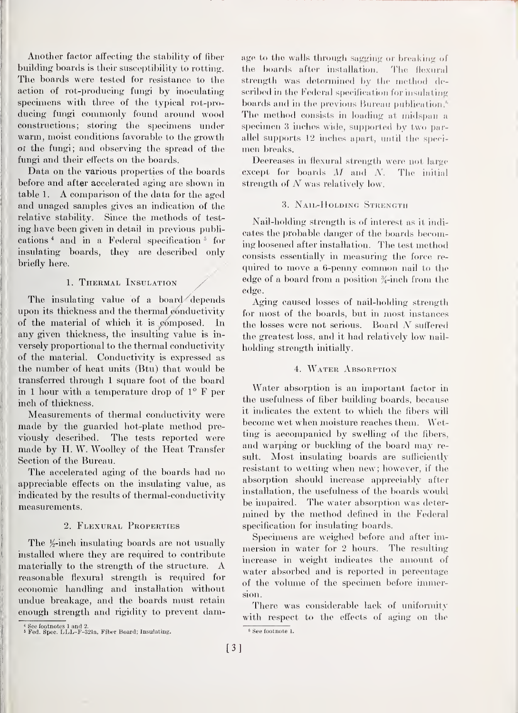Another factor affecting the stability of fiber buildmg boards is their susceptibility to rotting. The boards were tested for resistance to the action of rot-producing fungi by inoculating specimens with three of the typical rot-producing fungi commonly found around wood constructions; storing the specimens under warm, moist conditions favorable to the growth of the fungi; and observing the spread of the fungi and their effects on the boards.

Data on the various properties of the boards before and after accelerated aging are shown in table 1. A comparison of the data for the aged and unaged samples gives an indication of the relative stability. Since the methods of test ing have been given in detail in previous publications<sup>4</sup> and in a Federal specification<sup>5</sup> for insulating boards, they are described only briefly here.

#### 1. Thermal Insulation

The insulating value of a board depends upon its thickness and the thermal conductivity of the material of which it is  $\mathfrak c$ omposed. In any given thickness, the insulting value is inversely proportional to the thermal conductivity of the material. Conductivity is expressed as the number of heat units (Btu) that would be transferred through <sup>1</sup>square foot of the board in <sup>1</sup> hour with a temperature drop of 1° F per inch of thickness.

Measurements of thermal conductivity were made by the guarded hot-plate method pre viously described. The tests reported were made by H.W. Woolley of the Heat Transfer Section of the Bureau.

The accelerated aging of the boards had no appreciable effects on the insulating value, as indicated by the results of thermal-conductivity measurements.

#### 2. Flexural Properties

The  $\frac{1}{2}$ -inch insulating boards are not usually installed where they are required to contribute materially to the strength of the structure. A reasonable flexural strength is required for economic handling and installation without undue breakage, and the boards must retain enough strength and rigidity to prevent damage to the walls through sagging or breaking of the boards after installation. The flexural strength was determined by the method described in the Federal specification for insulating boards and in the previous Bureau publication.<sup>6</sup> The method consists in loading at midspan a specimen 3 inches wide, supported by two parallel supports  $12$  inches apart, until the specimen breaks.

Decreases in flexural strength were not large except for boards M and N. The initial strength of  $N$  was relatively low.

#### 3. Nail-Holding Strength

Nail-holding strength is of interest as it indi cates the probable danger of the boards becoming loosened after installation. The test method consists essentially in measuring the force required to move a 6-penny common nail to the edge of a board from a position  $\frac{3}{4}$ -inch from the edge.

Aging caused losses of nail-holding strength for most of the boards, but in most instances the losses were not serious. Board  $N$  suffered the greatest loss, and it had relatively low nailholding strength initially.

#### 4. Water Absorption

Water absorption is an important factor in the usefulness of fiber building boards, because it indicates the extent to which the fibers will become wet when moisture reaches them. Wetting is accompanied by swelling of the fibers, and warping or buckling of the board may result. Most insulating boards are sufficiently resistant to wetting when new; however, if the absorption should increase appreciably after installation, the usefulness of the boards would be impaired. The water absorption was determined by the method defined in the Federal specification for insulating boards.

Specimens are weighed before and after immersion in water for 2 hours. The resulting increase in weight indicates the amount of water absorbed and is reported in percentage of the volume of the specimen before immersion.

There was considerable lack of uniformity with respect to the effects of aging on the

<sup>&#</sup>x27; See footnotes <sup>1</sup> and 2. <sup>s</sup> Fed. Spec. LLL-F-321a, Fiber Board; Insulating.

<sup>8</sup> See footnote 1.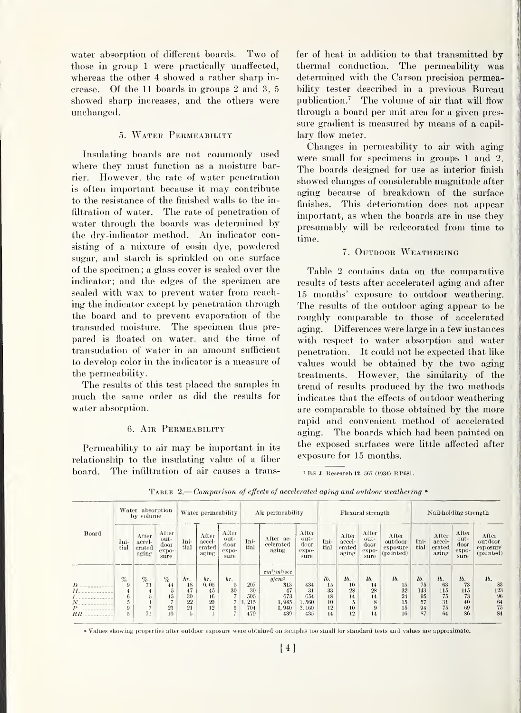water absorption of different boards. Two of those in group <sup>1</sup> were practically unaffected, whereas the other 4 showed a rather sharp in crease. Of the 11 boards in groups 2 and 3, 5 showed sharp increases, and the others were unchanged.

#### 5. Water Permeability

Insulating boards are not commonly used where they must function as a moisture barrier. However, the rate of water penetration is often important because it may contribute to the resistance of the finished walls to the infiltration of water. The rate of penetration of water through the boards was determined by the dry-indicator method. An indicator consisting of a mixture of eosin dye, powdered sugar, and starch is sprinkled on one surface of the specimen ; a glass cover is sealed over the indicator; and the edges of the specimen are sealed with wax to prevent water from reaching the indicator except by penetration through the board and to prevent evaporation of the transuded moisture. The specimen thus pre pared is floated on water, and the time of transudation of water in an amount sufficient to develop color in the indicator is a measure of the permeability.

The results of this test placed the samples in much the same order as did the results for water absorption.

#### 6. Air Permeability

Permeability to air may be important in its relationship to the insulating value of a fiber board. The infiltration of air causes a transfer of heat in addition to that transmitted by thermal conduction. The permeability was determined with the Carson precision permeability tester described in a previous Bureau publication.<sup>7</sup> The volume of air that will flow through a board per unit area for a given pres sure gradient is measured by means of a capillary flow meter.

Changes in permeability to air with aging were small for specimens in groups <sup>1</sup> and 2. The boards designed for use as interior finish showed changes of considerable magnitude after aging because of breakdown of the surface finishes. This deterioration does not appear important, as when the boards are in use they presumably will be redecorated from time to time.

#### 7. OUTDOOR WEATHERING

Table 2 contains data on the comparative results of tests after accelerated aging and after 15 months' exposure to outdoor weathering. The results of the outdoor aging appear to be roughly comparable to those of accelerated aging. Differences were large in a few instances with respect to water absorption and water penetration. It could not be expected that like values would be obtained by the two aging treatments. However, the similarity of the trend of results produced by the two methods indicates that the effects of outdoor weathering are comparable to those obtained by the more rapid and convenient method of accelerated aging. The boards which had been painted on the exposed surfaces were little affected after exposure for 15 months.

<sup>7</sup> BS J. Research **12,** 567 (1934) RP681.

|                                                        |                                    | Water absorption<br>by volume      |                                                   | Water permeability                     |                                     |                                               | Air permeability                      |                                                                         |                                             | <b>Flexural</b> strength                |                                                     |                                        |                                                        |                                          | Nail-holding strength                    |                                          |                                                 |  |
|--------------------------------------------------------|------------------------------------|------------------------------------|---------------------------------------------------|----------------------------------------|-------------------------------------|-----------------------------------------------|---------------------------------------|-------------------------------------------------------------------------|---------------------------------------------|-----------------------------------------|-----------------------------------------------------|----------------------------------------|--------------------------------------------------------|------------------------------------------|------------------------------------------|------------------------------------------|-------------------------------------------------|--|
| Board                                                  | Ini-<br>tial                       | After<br>accel-<br>erated<br>aging | After<br>out-<br>door<br>expo-<br>sure            | Ini-<br>tial                           | After<br>accel-<br>erated<br>aging  | After<br>out-<br>door<br>expo-<br>sure        | Ini-<br>tial                          | After ac-<br>celerated<br>aging                                         | After<br>out-<br>door<br>$\exp(\nu$<br>sure | Ini-<br>tial                            | After<br>accel-<br>erated<br>aging                  | After<br>out-<br>door<br>expo-<br>sure | After<br>outdoor<br>exposure<br>(painted)              | Ini-<br>tial                             | After<br>accel-<br>erated<br>aging       | After<br>out-<br>door<br>expo-<br>sure   | After<br>outdoor<br>exposure<br>(painted)       |  |
| $\boldsymbol{D}$<br>H<br>$\mathcal{N}$<br>Р<br>$_{RR}$ | $\%$<br>9<br>4<br>6<br>5<br>9<br>5 | $\%$<br>71<br>71                   | $\%$<br>44<br>5<br>15<br>$\mathbf{r}$<br>23<br>10 | hr.<br>18<br>47<br>30<br>22<br>21<br>5 | hr.<br>0.05<br>45<br>16<br>20<br>12 | hr.<br>$\overline{5}$<br>30<br>$\overline{5}$ | 207<br>30<br>505<br>215<br>704<br>479 | $cm^3/m^2/sec$<br>$q/cm^2$<br>813<br>47<br>673<br>1,945<br>1,940<br>439 | 434<br>31<br>654<br>1.560<br>2,160<br>435   | lb.<br>15<br>33<br>18<br>10<br>12<br>14 | lb.<br>10<br>28<br>14<br>$\overline{5}$<br>10<br>12 | lb.<br>14<br>28<br>14<br>8<br>9<br>14  | 1 <sub>b</sub><br>15<br>$32\,$<br>24<br>15<br>15<br>16 | lb.<br>75<br>143<br>95<br>57<br>94<br>87 | lb.<br>63<br>115<br>75<br>31<br>75<br>64 | lb.<br>73<br>115<br>73<br>40<br>69<br>86 | lb.<br>83<br>123<br>96<br>$\frac{64}{75}$<br>84 |  |

TABLE 2.—Comparison of effects of accelerated aging and outdoor weathering  $\degree$ 

» Values showing properties after outdoor exposure were obtained on samples too small for standard tests and values are approximate.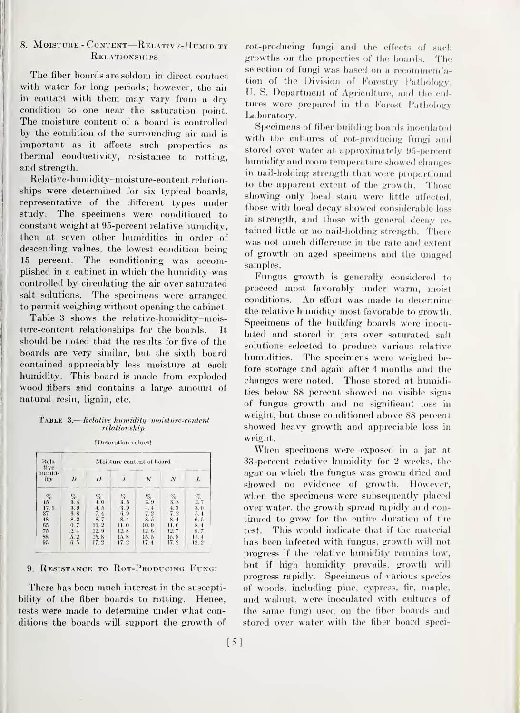#### 8. MOISTURE - CONTENT—RELATIVE-HUMIDITY Relationships '

The fiber boards are seldom in direct contact with water for long periods; however, the air in contact with them may vary from <sup>a</sup> dry condition to one near the saturation point. The moisture content of a board is controlled by the condition of the surrounding air and is important as it affects such properties as thermal eonductivity, resistance to rotting. and strength.

Relative-humidity-moisture-content relationships were determined for six typical boards, representative of the different types under study. The specimens were conditioned to eonstant weight at 95-percent relative humidity, then at seven other humidities in order of descending values, the lowest eondition being 15 percent. The conditioning was accomplished in a cabinet in which the humidity was controlled by circulating the air over saturated salt solutions. The specimens were arranged to permit weighing without opening the cabinet.

Table 3 shows the relative-humidity-moisture-content relationships for the boards. It should be noted that the results for five of the boards are very similar, but the sixth board contained appreciably less moisture at each humidity. This board is made from exploded wood fibers and contains <sup>a</sup> large amount of natural resin, lignin, etc.

#### $\texttt{Table 3.}-Relative-humidity-moisture-content$ relationship

[Desorption values!

| Rela-<br>tive   | Moisture content of board- |             |             |             |             |                    |  |  |  |  |  |
|-----------------|----------------------------|-------------|-------------|-------------|-------------|--------------------|--|--|--|--|--|
| humid-<br>ity   |                            | H           |             | K           | Ν           |                    |  |  |  |  |  |
| $\frac{\%}{15}$ | $\%$<br>3.4                | $\%$<br>4.0 | $\%$<br>3.5 | $\%$<br>3.9 | $\%$<br>3.8 | $C_{\zeta}$<br>2.7 |  |  |  |  |  |
| 17.5            | 3.9                        | 4.5         | 3.9         | 4.4         | 4.3         | 3,0                |  |  |  |  |  |
| 37              | 6, 8                       | 7.4         | 6.9         | 7.2         | 7.2         | 5.4                |  |  |  |  |  |
| $\frac{48}{65}$ | 8.2                        | 8.7         | 8.4         | 8.5         | 8.4         | 6.5                |  |  |  |  |  |
|                 | 10.7                       | 11.2        | 11.0        | 10.9        | 11.0        | 8.4                |  |  |  |  |  |
| 75              | 12.4                       | 12.9        | 12. 8       | 12.6        | 12. 7       | 9.7                |  |  |  |  |  |
| 88              | 15.2                       | 15.8        | 15.8        | 15.5        | 15.8        | 11.4               |  |  |  |  |  |
| 95              | 16.5                       | 17.2        | 17.2        | 17.4        | 17.2        | 12.2               |  |  |  |  |  |

#### 9. RESISTANCE TO ROT-PRODUCING FUNGI

There has been much interest in the susceptibility of the fiber boards to rotting. Henee, tests were made to determine under what conditions the boards will support the growth of

rot-producing fungi and the effects of such growths on the properties of the boards. The selection of fungi was based on a recommendation of the Division of Forestry Pathology, U. S. Department of Agriculture, and the cultures were prepared in the Forest Pathology Laboratory.

Specimens of fiber building boards inoculated with the cultures of rot-producing fungi and stored over water at approximately 95-percent humidity and room temperature showed changes in nail-holding strength that were proportional to the apparent extent of the growth. Those showing only local stain were little affected. those with local decay showed considerable loss in strength, and those with general decay re tained little or no nail-holding strength. There was not much difference in the rate and extent of growth on aged specimens and the unaged samples.

Fungus growth is generally considered to proceed most favorably under warm, moist conditions. An effort was made to determine the relative humidity most favorable to growth. Specimens of the building boards were inoculated and stored in jars over saturated salt solutions selected to produce various relative humidities. The speeimens were weighed before storage and again after 4 months and the changes were noted. Those stored at humidities below 88 percent showed no visible signs of fungus growth and no significant loss in weight, but those conditioned above 88 percent showed heavy growth and appreciable loss in weight.

When specimens were exposed in a jar at 33-percent relative humidity for 2 weeks, the agar on which the fungus was grown dried and showed no evidence of growth. However, when the specimens were subsequently placed over water, the growth spread rapidly and continued to grow for the entire duration of the test. This would indicate that if the material has been infected with fungus, growth will not progress if the relative humidity remains low, but if high humidity prevails, growth will progress rapidly. Speeimens of various species of woods, including pine, cypress, fir, maple, and walnut, were inoculated with cultures of the same fungi used on the fiber boards and stored over water with the fiber board speci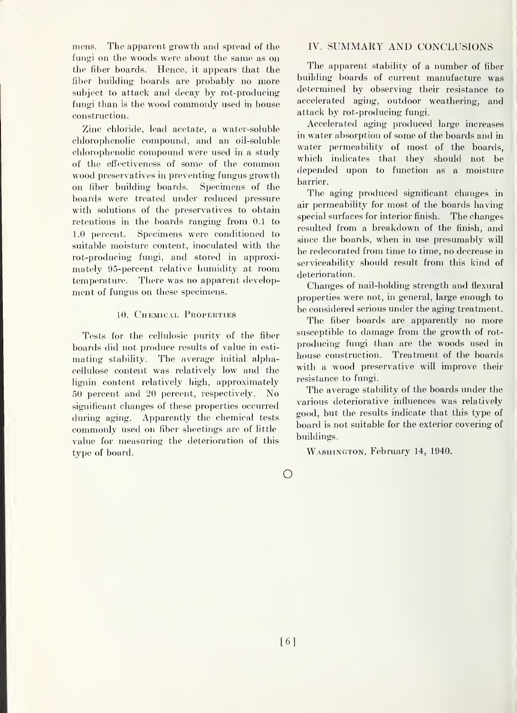mens. The apparent growth and spread of the fungi on the woods were about the same as on the fiber boards. Hence, it appears that the fiber building boards are probably no more subject to attack and decay by rot-producing fungi than is the wood commonly used in house construction.

Zinc chloride, lead acetate, a water-soluble chlorophenolic compound, and an oil-soluble chlorophenolic compound were used in a study of the eftectiveness of some of the common wood preservatives in preventing fungus growth on fiber building boards. Specimens of the boards were treated under reduced pressure with solutions of the preservatives to obtain retentions in the boards ranging from 0.1 to 1.0 percent. Specimens were conditioned to suitable moisture content, inoculated with the rot-producing fungi, and stored in approximately 95-percent relative humidity at room temperature. There was no apparent development of fungus on these specimens.

#### 10. Chemical Properties

Tests for the cellulosic purity of the fiber boards did not produce results of value in esti mating stability. The average initial alphacellulose content was relatively low and the lignin content relatively high, approximately 50 percent and 20 percent, respectively. No significant changes of these properties occurred during aging. Apparently the chemical tests commonly used on fiber sheetings are of little value for measuring the deterioration of this type of board.

#### IV. SUMMARY AND CONCLUSIONS

The apparent stability of a number of fiber building boards of current manufacture was determined by observing their resistance to accelerated aging, outdoor weathering, and attack by rot-producing fungi.

Accelerated aging produced large increases in water absorption of some of the boards and in water permeability of most of the boards, which indicates that they should not be depended upon to function as a moisture barrier.

The aging produced significant changes in air permeability for most of the boards having special surfaces for interior finish. The changes resulted from a breakdown of the finish, and since the boards, when in use presumably will be redecorated from time to time, no decrease in serviceability should result from this kind of deterioration.

Changes of nail-holding strength and flexural properties were not, in general, large enough to be considered serious under the aging treatment.

The fiber boards are apparently no more susceptible to damage from the growth of rot producing fungi than are the woods used in house construction. Treatment of the boards with a wood preservative will improve their resistance to fungi.

The average stability of the boards under the various deteriorative influences was relatively good, but the results indicate that this type of board is not suitable for the exterior covering of buildings.

WASHINGTON, February 14, 1940.

 $\bigcirc$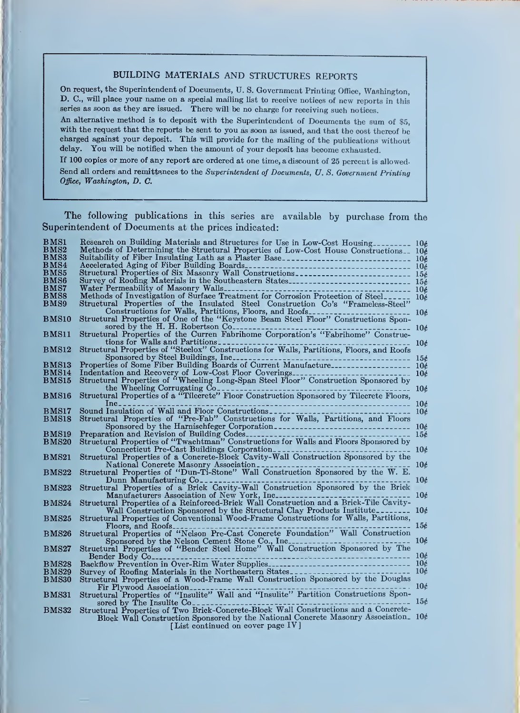### BUILDING MATERIALS AND STRUCTURES REPORTS

On request, the Superintendent of Documents, U.S. Government Printing Office, Washington, D. C, will place your name on <sup>a</sup> special mailing list to receive notices of new reports in this series as soon as they are issued. There will be no charge for receiving such notices.

An alternative method is to deposit with the Superintendent of Documents the sum of \$5, with the request that the reports be sent to you as soon as issued, and that the cost thereof be charged against your deposit. This will provide for the mailing of the publications without delay. You will be notified when the amount of your deposit has become exhausted.

If 100 copies or more of any report are ordered at one time, a discount of 25 percent is allowed- Send all orders and remittances to the Superintendent of Documents, U.S. Government Printing Office, Washington, D. C.

The following publications in this series are available by purchase from the Superintendent of Documents at the prices indicated:

| <b>BMS1</b>       | Research on Building Materials and Structures for Use in Low-Cost Housing                                                                                           |                 |
|-------------------|---------------------------------------------------------------------------------------------------------------------------------------------------------------------|-----------------|
| BMS2              | Methods of Determining the Structural Properties of Low-Cost House Constructions 106                                                                                |                 |
| BMS3              | Suitability of Fiber Insulating Lath as a Plaster Base                                                                                                              |                 |
| BMS4              |                                                                                                                                                                     |                 |
| BMS5              |                                                                                                                                                                     |                 |
| $_{\rm BMS6}$     |                                                                                                                                                                     |                 |
| BMS7              |                                                                                                                                                                     |                 |
| BMS8              | Methods of Investigation of Surface Treatment for Corrosion Protection of Steel 10¢                                                                                 |                 |
|                   |                                                                                                                                                                     |                 |
| BMS9              | Structural Properties of the Insulated Steel Construction Co's "Frameless-Steel"                                                                                    |                 |
|                   |                                                                                                                                                                     | 106             |
| BMS10             |                                                                                                                                                                     |                 |
|                   | Structural Properties of the Curren Fabrihome Corporation's "Fabrihome" Constructural Properties of the Curren Fabrihome Corporation's "Fabrihome" Construc-<br>10é |                 |
| BMS11             |                                                                                                                                                                     |                 |
|                   | tions for Walls and Partitions<br>Structural Properties of "Steelox" Constructions for Walls, Partitions, Floors, and Roofs<br>10¢                                  |                 |
| BMS12             |                                                                                                                                                                     |                 |
|                   | Sponsored by Steel Buildings, Inc.<br>----------------------                                                                                                        | 15c             |
| BMS13             | Properties of Some Fiber Building Boards of Current Manufacture------------------ 10¢                                                                               |                 |
| BMS <sub>14</sub> |                                                                                                                                                                     | 10 <sub>c</sub> |
| <b>BMS15</b>      |                                                                                                                                                                     |                 |
|                   | --------------------- 10¢                                                                                                                                           |                 |
| <b>BMS16</b>      | the Wheeling Corrugating Confirmation Construction Sponsored by Tilecrete Floors,                                                                                   |                 |
|                   |                                                                                                                                                                     |                 |
|                   | $Inc_{--}$                                                                                                                                                          |                 |
| BMS17             |                                                                                                                                                                     |                 |
| BMS18             | Structural Properties of "Pre-Fab" Constructions for Walls, Partitions, and Floors                                                                                  |                 |
|                   |                                                                                                                                                                     |                 |
| BMS19             |                                                                                                                                                                     |                 |
| BMS20             | Preparation and Revision of Building Codes<br>Structural Properties of "Twachtman" Constructions for Walls and Floors Sponsored by                                  |                 |
|                   | Connecticut Pre-Cast Buildings Corporation<br>Structural Properties of a Concrete-Block Cavity-Wall Construction Sponsored by the                                   |                 |
| <b>BMS21</b>      |                                                                                                                                                                     |                 |
|                   | National Concrete Masonry Association                                                                                                                               | 10 <sub>c</sub> |
| <b>BMS22</b>      | Structural Properties of "Dun-Ti-Stone" Wall Construction Sponsored by the W. E.                                                                                    |                 |
|                   | Dunn Manufacturing Co---------------------                                                                                                                          | 10 <sub>t</sub> |
| <b>BMS23</b>      | Structural Properties of a Brick Cavity-Wall Construction Sponsored by the Brick                                                                                    |                 |
|                   | Manufacturers Association of New York, Inc.                                                                                                                         | 10 <sub>c</sub> |
| <b>BMS24</b>      | Structural Properties of a Reinforced-Brick Wall Construction and a Brick-Tile Cavity-                                                                              |                 |
|                   | Wall Construction Sponsored by the Structural Clay Products Institute                                                                                               | 10 <sub>t</sub> |
|                   |                                                                                                                                                                     |                 |
| <b>BMS25</b>      | Structural Properties of Conventional Wood-Frame Constructions for Walls, Partitions,                                                                               |                 |
|                   | Floors, and Roofs                                                                                                                                                   | 156             |
| <b>BMS26</b>      | Structural Properties of "Nelson Pre-Cast Concrete Foundation" Wall Construction                                                                                    |                 |
|                   |                                                                                                                                                                     | 106             |
| BMS27             |                                                                                                                                                                     |                 |
|                   | Bender Body Co <sub>---</sub>                                                                                                                                       |                 |
| <b>BMS28</b>      |                                                                                                                                                                     |                 |
| <b>BMS29</b>      |                                                                                                                                                                     |                 |
| <b>BMS30</b>      | Structural Properties of a Wood-Frame Wall Construction Sponsored by the Douglas                                                                                    |                 |
|                   | . 10¢<br>Fir Plywood Association                                                                                                                                    |                 |
| <b>BMS31</b>      | Structural Properties of "Insulite" Wall and "Insulite" Partition Constructions Spon-                                                                               |                 |
|                   | $\sim$ $-156$<br>sored by The Insulite $Co_{-}$                                                                                                                     |                 |
| <b>BMS32</b>      | Structural Properties of Two Brick-Concrete-Block Wall Constructions and a Concrete-                                                                                |                 |
|                   | Block Wall Construction Sponsored by the National Concrete Masonry Association. 10¢                                                                                 |                 |
|                   | [List continued on cover page IV]                                                                                                                                   |                 |
|                   |                                                                                                                                                                     |                 |